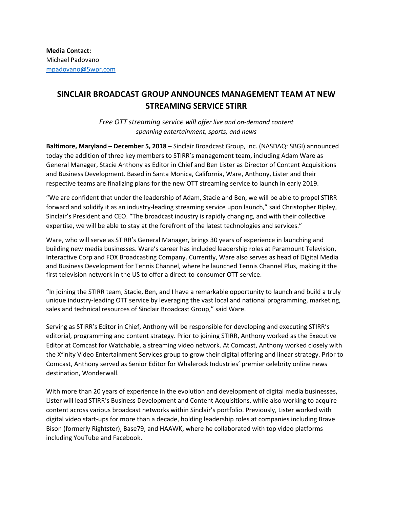## **SINCLAIR BROADCAST GROUP ANNOUNCES MANAGEMENT TEAM AT NEW STREAMING SERVICE STIRR**

*Free OTT streaming service will offer live and on-demand content spanning entertainment, sports, and news*

**Baltimore, Maryland – December 5, 2018** – Sinclair Broadcast Group, Inc. (NASDAQ: SBGI) announced today the addition of three key members to STIRR's management team, including Adam Ware as General Manager, Stacie Anthony as Editor in Chief and Ben Lister as Director of Content Acquisitions and Business Development. Based in Santa Monica, California, Ware, Anthony, Lister and their respective teams are finalizing plans for the new OTT streaming service to launch in early 2019.

"We are confident that under the leadership of Adam, Stacie and Ben, we will be able to propel STIRR forward and solidify it as an industry-leading streaming service upon launch," said Christopher Ripley, Sinclair's President and CEO. "The broadcast industry is rapidly changing, and with their collective expertise, we will be able to stay at the forefront of the latest technologies and services."

Ware, who will serve as STIRR's General Manager, brings 30 years of experience in launching and building new media businesses. Ware's career has included leadership roles at Paramount Television, Interactive Corp and FOX Broadcasting Company. Currently, Ware also serves as head of Digital Media and Business Development for Tennis Channel, where he launched Tennis Channel Plus, making it the first television network in the US to offer a direct-to-consumer OTT service.

"In joining the STIRR team, Stacie, Ben, and I have a remarkable opportunity to launch and build a truly unique industry-leading OTT service by leveraging the vast local and national programming, marketing, sales and technical resources of Sinclair Broadcast Group," said Ware.

Serving as STIRR's Editor in Chief, Anthony will be responsible for developing and executing STIRR's editorial, programming and content strategy. Prior to joining STIRR, Anthony worked as the Executive Editor at Comcast for Watchable, a streaming video network. At Comcast, Anthony worked closely with the Xfinity Video Entertainment Services group to grow their digital offering and linear strategy. Prior to Comcast, Anthony served as Senior Editor for Whalerock Industries' premier celebrity online news destination, Wonderwall.

With more than 20 years of experience in the evolution and development of digital media businesses, Lister will lead STIRR's Business Development and Content Acquisitions, while also working to acquire content across various broadcast networks within Sinclair's portfolio. Previously, Lister worked with digital video start-ups for more than a decade, holding leadership roles at companies including Brave Bison (formerly Rightster), Base79, and HAAWK, where he collaborated with top video platforms including YouTube and Facebook.